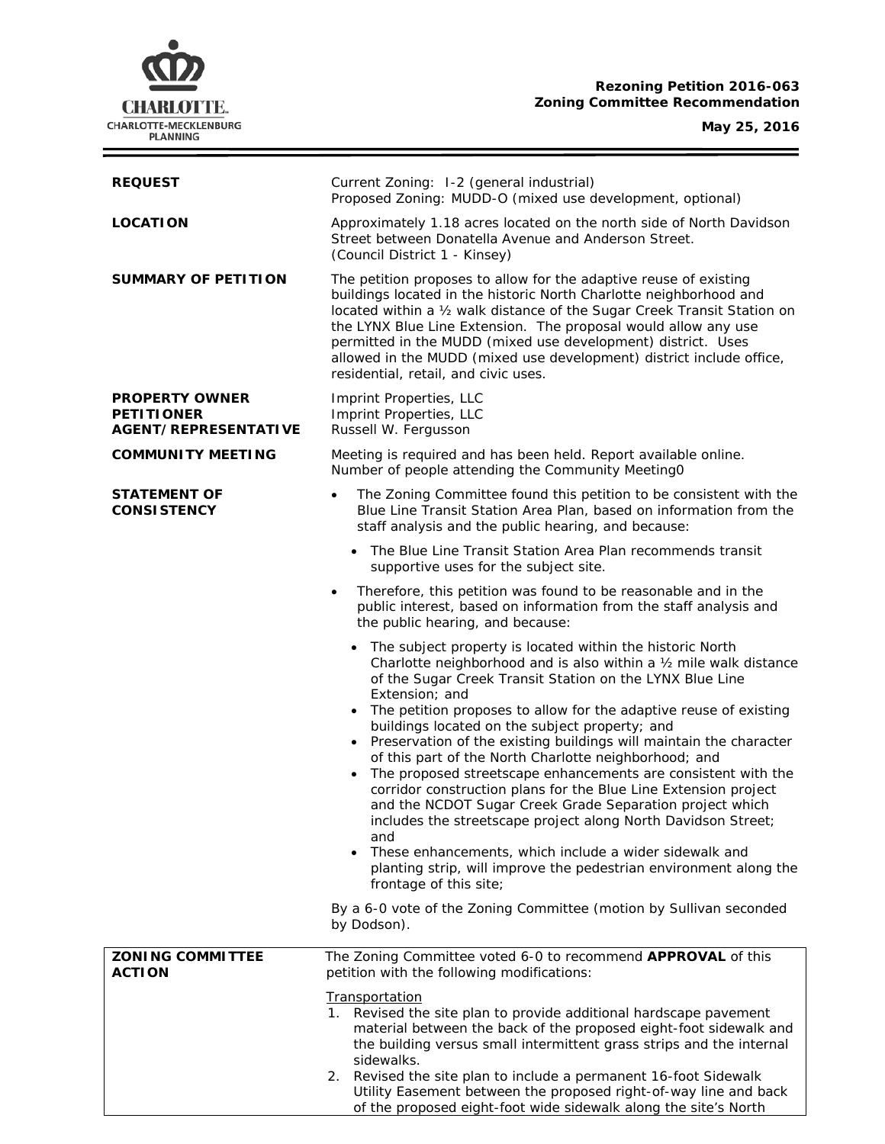

# **Rezoning Petition 2016-063 Zoning Committee Recommendation**

**May 25, 2016**

ł.

| <b>REQUEST</b>                                                     | Current Zoning: 1-2 (general industrial)<br>Proposed Zoning: MUDD-O (mixed use development, optional)                                                                                                                                                                                                                                                                                                                                                                                                                                                                                                                                                                                                                                                                                                                                                                                                                                         |  |  |
|--------------------------------------------------------------------|-----------------------------------------------------------------------------------------------------------------------------------------------------------------------------------------------------------------------------------------------------------------------------------------------------------------------------------------------------------------------------------------------------------------------------------------------------------------------------------------------------------------------------------------------------------------------------------------------------------------------------------------------------------------------------------------------------------------------------------------------------------------------------------------------------------------------------------------------------------------------------------------------------------------------------------------------|--|--|
| <b>LOCATION</b>                                                    | Approximately 1.18 acres located on the north side of North Davidson<br>Street between Donatella Avenue and Anderson Street.<br>(Council District 1 - Kinsey)                                                                                                                                                                                                                                                                                                                                                                                                                                                                                                                                                                                                                                                                                                                                                                                 |  |  |
| <b>SUMMARY OF PETITION</b>                                         | The petition proposes to allow for the adaptive reuse of existing<br>buildings located in the historic North Charlotte neighborhood and<br>located within a 1/2 walk distance of the Sugar Creek Transit Station on<br>the LYNX Blue Line Extension. The proposal would allow any use<br>permitted in the MUDD (mixed use development) district. Uses<br>allowed in the MUDD (mixed use development) district include office,<br>residential, retail, and civic uses.                                                                                                                                                                                                                                                                                                                                                                                                                                                                         |  |  |
| <b>PROPERTY OWNER</b><br><b>PETITIONER</b><br>AGENT/REPRESENTATIVE | Imprint Properties, LLC<br>Imprint Properties, LLC<br>Russell W. Fergusson                                                                                                                                                                                                                                                                                                                                                                                                                                                                                                                                                                                                                                                                                                                                                                                                                                                                    |  |  |
| <b>COMMUNITY MEETING</b>                                           | Meeting is required and has been held. Report available online.<br>Number of people attending the Community Meeting0                                                                                                                                                                                                                                                                                                                                                                                                                                                                                                                                                                                                                                                                                                                                                                                                                          |  |  |
| <b>STATEMENT OF</b><br><b>CONSISTENCY</b>                          | The Zoning Committee found this petition to be consistent with the<br>$\bullet$<br>Blue Line Transit Station Area Plan, based on information from the<br>staff analysis and the public hearing, and because:                                                                                                                                                                                                                                                                                                                                                                                                                                                                                                                                                                                                                                                                                                                                  |  |  |
|                                                                    | The Blue Line Transit Station Area Plan recommends transit<br>supportive uses for the subject site.                                                                                                                                                                                                                                                                                                                                                                                                                                                                                                                                                                                                                                                                                                                                                                                                                                           |  |  |
|                                                                    | Therefore, this petition was found to be reasonable and in the<br>$\bullet$<br>public interest, based on information from the staff analysis and<br>the public hearing, and because:                                                                                                                                                                                                                                                                                                                                                                                                                                                                                                                                                                                                                                                                                                                                                          |  |  |
|                                                                    | • The subject property is located within the historic North<br>Charlotte neighborhood and is also within a 1/2 mile walk distance<br>of the Sugar Creek Transit Station on the LYNX Blue Line<br>Extension; and<br>The petition proposes to allow for the adaptive reuse of existing<br>$\bullet$<br>buildings located on the subject property; and<br>Preservation of the existing buildings will maintain the character<br>$\bullet$<br>of this part of the North Charlotte neighborhood; and<br>The proposed streetscape enhancements are consistent with the<br>$\bullet$<br>corridor construction plans for the Blue Line Extension project<br>and the NCDOT Sugar Creek Grade Separation project which<br>includes the streetscape project along North Davidson Street;<br>and<br>These enhancements, which include a wider sidewalk and<br>planting strip, will improve the pedestrian environment along the<br>frontage of this site; |  |  |
|                                                                    | By a 6-0 vote of the Zoning Committee (motion by Sullivan seconded<br>by Dodson).                                                                                                                                                                                                                                                                                                                                                                                                                                                                                                                                                                                                                                                                                                                                                                                                                                                             |  |  |
| <b>ZONING COMMITTEE</b><br><b>ACTION</b>                           | The Zoning Committee voted 6-0 to recommend APPROVAL of this<br>petition with the following modifications:                                                                                                                                                                                                                                                                                                                                                                                                                                                                                                                                                                                                                                                                                                                                                                                                                                    |  |  |
|                                                                    | <b>Transportation</b><br>1. Revised the site plan to provide additional hardscape pavement<br>material between the back of the proposed eight-foot sidewalk and<br>the building versus small intermittent grass strips and the internal<br>sidewalks.<br>2. Revised the site plan to include a permanent 16-foot Sidewalk<br>Utility Easement between the proposed right-of-way line and back<br>of the proposed eight-foot wide sidewalk along the site's North                                                                                                                                                                                                                                                                                                                                                                                                                                                                              |  |  |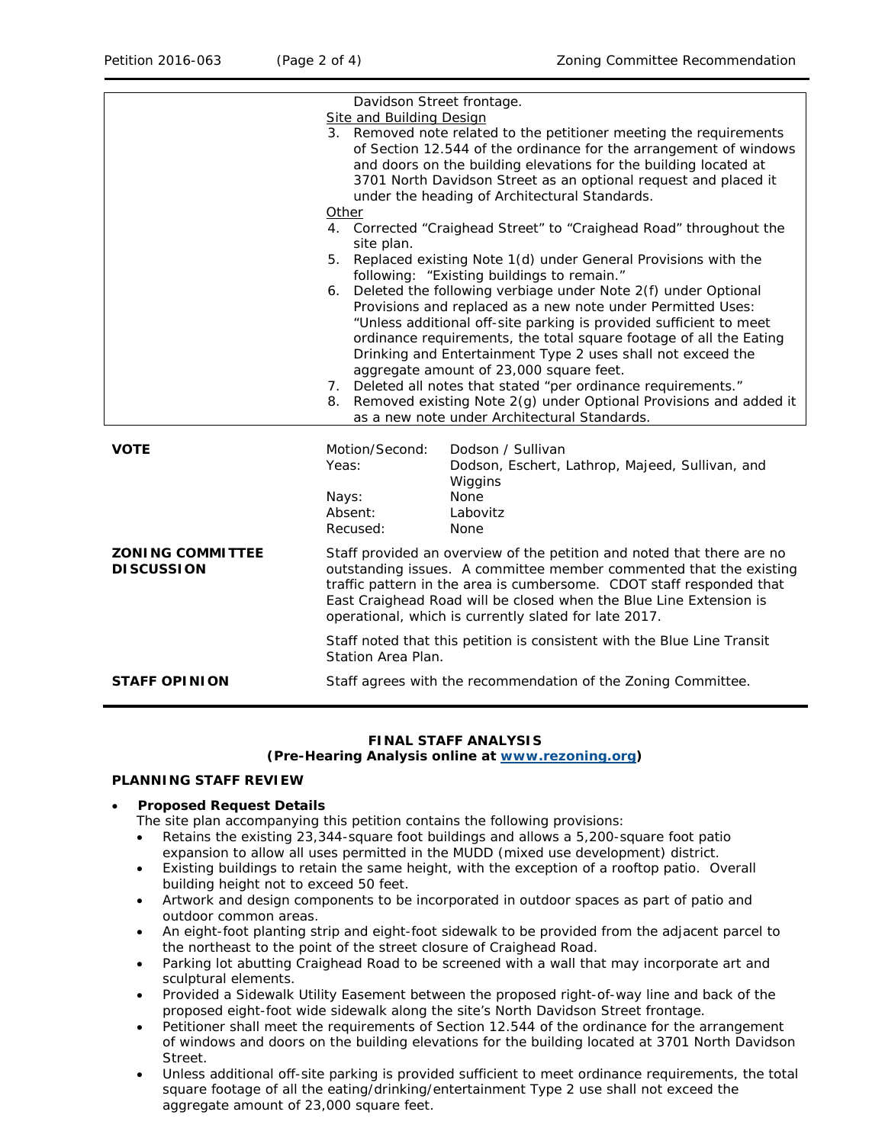|                                              | Davidson Street frontage.<br><b>Site and Building Design</b>                                                                                                                                                                                                                                                                                        |                                                                                                                                                                                                                                                                                                                                                                                                                                                                                                                                                                                 |  |
|----------------------------------------------|-----------------------------------------------------------------------------------------------------------------------------------------------------------------------------------------------------------------------------------------------------------------------------------------------------------------------------------------------------|---------------------------------------------------------------------------------------------------------------------------------------------------------------------------------------------------------------------------------------------------------------------------------------------------------------------------------------------------------------------------------------------------------------------------------------------------------------------------------------------------------------------------------------------------------------------------------|--|
|                                              |                                                                                                                                                                                                                                                                                                                                                     | 3. Removed note related to the petitioner meeting the requirements<br>of Section 12.544 of the ordinance for the arrangement of windows<br>and doors on the building elevations for the building located at<br>3701 North Davidson Street as an optional request and placed it<br>under the heading of Architectural Standards.                                                                                                                                                                                                                                                 |  |
|                                              | Other                                                                                                                                                                                                                                                                                                                                               |                                                                                                                                                                                                                                                                                                                                                                                                                                                                                                                                                                                 |  |
|                                              | 4. Corrected "Craighead Street" to "Craighead Road" throughout the<br>site plan.<br>5. Replaced existing Note 1(d) under General Provisions with the<br>following: "Existing buildings to remain."                                                                                                                                                  |                                                                                                                                                                                                                                                                                                                                                                                                                                                                                                                                                                                 |  |
|                                              |                                                                                                                                                                                                                                                                                                                                                     |                                                                                                                                                                                                                                                                                                                                                                                                                                                                                                                                                                                 |  |
|                                              |                                                                                                                                                                                                                                                                                                                                                     | 6. Deleted the following verbiage under Note 2(f) under Optional<br>Provisions and replaced as a new note under Permitted Uses:<br>"Unless additional off-site parking is provided sufficient to meet<br>ordinance requirements, the total square footage of all the Eating<br>Drinking and Entertainment Type 2 uses shall not exceed the<br>aggregate amount of 23,000 square feet.<br>7. Deleted all notes that stated "per ordinance requirements."<br>8. Removed existing Note 2(g) under Optional Provisions and added it<br>as a new note under Architectural Standards. |  |
|                                              |                                                                                                                                                                                                                                                                                                                                                     |                                                                                                                                                                                                                                                                                                                                                                                                                                                                                                                                                                                 |  |
| <b>VOTE</b>                                  | Motion/Second:<br>Yeas:<br>Nays:<br>Absent:<br>Recused:                                                                                                                                                                                                                                                                                             | Dodson / Sullivan<br>Dodson, Eschert, Lathrop, Majeed, Sullivan, and<br>Wiggins<br>None<br>Labovitz<br>None                                                                                                                                                                                                                                                                                                                                                                                                                                                                     |  |
| <b>ZONING COMMITTEE</b><br><b>DISCUSSION</b> | Staff provided an overview of the petition and noted that there are no<br>outstanding issues. A committee member commented that the existing<br>traffic pattern in the area is cumbersome. CDOT staff responded that<br>East Craighead Road will be closed when the Blue Line Extension is<br>operational, which is currently slated for late 2017. |                                                                                                                                                                                                                                                                                                                                                                                                                                                                                                                                                                                 |  |
|                                              | Station Area Plan.                                                                                                                                                                                                                                                                                                                                  | Staff noted that this petition is consistent with the Blue Line Transit                                                                                                                                                                                                                                                                                                                                                                                                                                                                                                         |  |
| <b>STAFF OPINION</b>                         | Staff agrees with the recommendation of the Zoning Committee.                                                                                                                                                                                                                                                                                       |                                                                                                                                                                                                                                                                                                                                                                                                                                                                                                                                                                                 |  |
|                                              |                                                                                                                                                                                                                                                                                                                                                     |                                                                                                                                                                                                                                                                                                                                                                                                                                                                                                                                                                                 |  |

## **FINAL STAFF ANALYSIS**

### **(Pre-Hearing Analysis online at [www.rezoning.org\)](http://www.rezoning.org/)**

## **PLANNING STAFF REVIEW**

#### • **Proposed Request Details**

The site plan accompanying this petition contains the following provisions:

- Retains the existing 23,344-square foot buildings and allows a 5,200-square foot patio expansion to allow all uses permitted in the MUDD (mixed use development) district.
- Existing buildings to retain the same height, with the exception of a rooftop patio. Overall building height not to exceed 50 feet.
- Artwork and design components to be incorporated in outdoor spaces as part of patio and outdoor common areas.
- An eight-foot planting strip and eight-foot sidewalk to be provided from the adjacent parcel to the northeast to the point of the street closure of Craighead Road.
- Parking lot abutting Craighead Road to be screened with a wall that may incorporate art and sculptural elements.
- Provided a Sidewalk Utility Easement between the proposed right-of-way line and back of the proposed eight-foot wide sidewalk along the site's North Davidson Street frontage.
- Petitioner shall meet the requirements of Section 12.544 of the ordinance for the arrangement of windows and doors on the building elevations for the building located at 3701 North Davidson Street.
- Unless additional off-site parking is provided sufficient to meet ordinance requirements, the total square footage of all the eating/drinking/entertainment Type 2 use shall not exceed the aggregate amount of 23,000 square feet.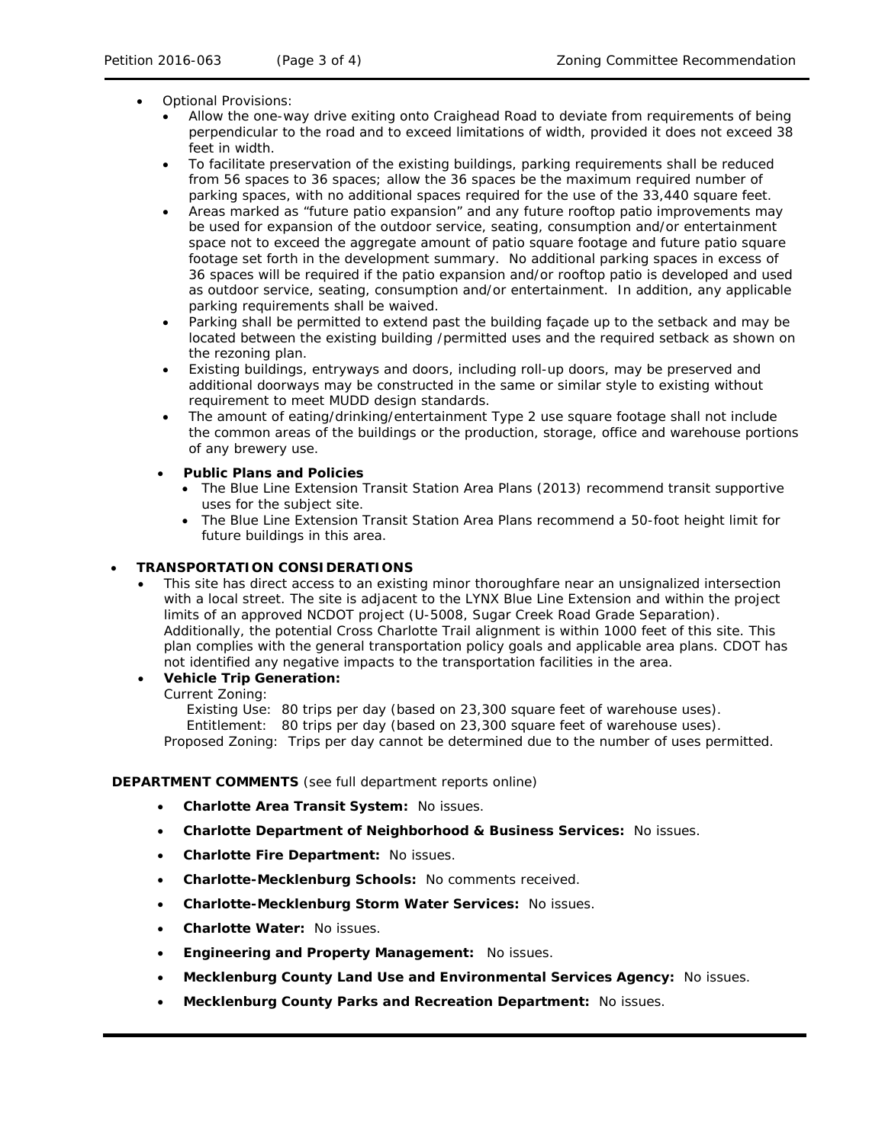- Optional Provisions:
	- Allow the one-way drive exiting onto Craighead Road to deviate from requirements of being perpendicular to the road and to exceed limitations of width, provided it does not exceed 38 feet in width.
	- To facilitate preservation of the existing buildings, parking requirements shall be reduced from 56 spaces to 36 spaces; allow the 36 spaces be the maximum required number of parking spaces, with no additional spaces required for the use of the 33,440 square feet.
	- Areas marked as "future patio expansion" and any future rooftop patio improvements may be used for expansion of the outdoor service, seating, consumption and/or entertainment space not to exceed the aggregate amount of patio square footage and future patio square footage set forth in the development summary. No additional parking spaces in excess of 36 spaces will be required if the patio expansion and/or rooftop patio is developed and used as outdoor service, seating, consumption and/or entertainment. In addition, any applicable parking requirements shall be waived.
	- Parking shall be permitted to extend past the building façade up to the setback and may be located between the existing building /permitted uses and the required setback as shown on the rezoning plan.
	- Existing buildings, entryways and doors, including roll-up doors, may be preserved and additional doorways may be constructed in the same or similar style to existing without requirement to meet MUDD design standards.
	- The amount of eating/drinking/entertainment Type 2 use square footage shall not include the common areas of the buildings or the production, storage, office and warehouse portions of any brewery use.
	- **Public Plans and Policies**
		- The *Blue Line Extension Transit Station Area Plans* (2013) recommend transit supportive uses for the subject site.
		- The *Blue Line Extension Transit Station Area Plans* recommend a 50-foot height limit for future buildings in this area.

# • **TRANSPORTATION CONSIDERATIONS**

• This site has direct access to an existing minor thoroughfare near an unsignalized intersection with a local street. The site is adjacent to the LYNX Blue Line Extension and within the project limits of an approved NCDOT project (U-5008, Sugar Creek Road Grade Separation). Additionally, the potential Cross Charlotte Trail alignment is within 1000 feet of this site. This plan complies with the general transportation policy goals and applicable area plans. CDOT has not identified any negative impacts to the transportation facilities in the area.

# • **Vehicle Trip Generation:**

Current Zoning:

Existing Use: 80 trips per day (based on 23,300 square feet of warehouse uses).

Entitlement: 80 trips per day (based on 23,300 square feet of warehouse uses).

Proposed Zoning: Trips per day cannot be determined due to the number of uses permitted.

### **DEPARTMENT COMMENTS** (see full department reports online)

- **Charlotte Area Transit System:** No issues.
- **Charlotte Department of Neighborhood & Business Services:** No issues.
- **Charlotte Fire Department:** No issues.
- **Charlotte-Mecklenburg Schools:** No comments received.
- **Charlotte-Mecklenburg Storm Water Services:** No issues.
- **Charlotte Water:** No issues.
- **Engineering and Property Management:** No issues.
- **Mecklenburg County Land Use and Environmental Services Agency:** No issues.
- **Mecklenburg County Parks and Recreation Department:** No issues.